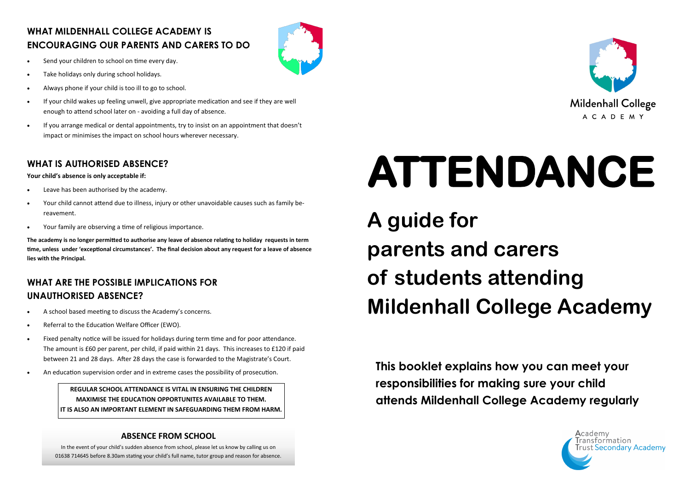#### **WHAT MILDENHALL COLLEGE ACADEMY IS ENCOURAGING OUR PARENTS AND CARERS TO DO**

- Send your children to school on time every day.
- Take holidays only during school holidays.
- Always phone if your child is too ill to go to school.
- If your child wakes up feeling unwell, give appropriate medication and see if they are well enough to attend school later on - avoiding a full day of absence.
- If you arrange medical or dental appointments, try to insist on an appointment that doesn't impact or minimises the impact on school hours wherever necessary.

#### **WHAT IS AUTHORISED ABSENCE?**

**Your child's absence is only acceptable if:**

- Leave has been authorised by the academy.
- Your child cannot attend due to illness, injury or other unavoidable causes such as family bereavement.
- Your family are observing a time of religious importance.

**The academy is no longer permitted to authorise any leave of absence relating to holiday requests in term time, unless under 'exceptional circumstances'. The final decision about any request for a leave of absence lies with the Principal.**

#### **WHAT ARE THE POSSIBLE IMPLICATIONS FOR UNAUTHORISED ABSENCE?**

- A school based meeting to discuss the Academy's concerns.
- Referral to the Education Welfare Officer (EWO).
- Fixed penalty notice will be issued for holidays during term time and for poor attendance. The amount is £60 per parent, per child, if paid within 21 days. This increases to £120 if paid between 21 and 28 days. After 28 days the case is forwarded to the Magistrate's Court.
- An education supervision order and in extreme cases the possibility of prosecution.

#### **ABSENCE FROM SCHOOL**

In the event of your child's sudden absence from school, please let us know by calling us on 01638 714645 before 8.30am stating your child's full name, tutor group and reason for absence.

**REGULAR SCHOOL ATTENDANCE IS VITAL IN ENSURING THE CHILDREN MAXIMISE THE EDUCATION OPPORTUNITES AVAILABLE TO THEM. IT IS ALSO AN IMPORTANT ELEMENT IN SAFEGUARDING THEM FROM HARM.** **This booklet explains how you can meet your responsibilities for making sure your child attends Mildenhall College Academy regularly**







# **ATTENDANCE**

**A guide for parents and carers of students attending Mildenhall College Academy**